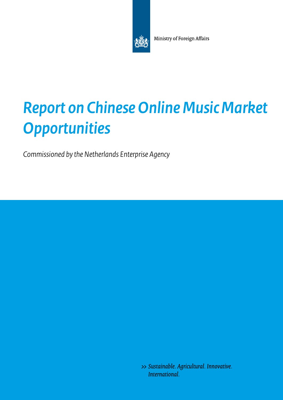

Ministry of Foreign Affairs

# *Report on Chinese Online Music Market Opportunities*

*Commissioned by the Netherlands Enterprise Agency* 

>> Sustainable. Agricultural. Innovative. International.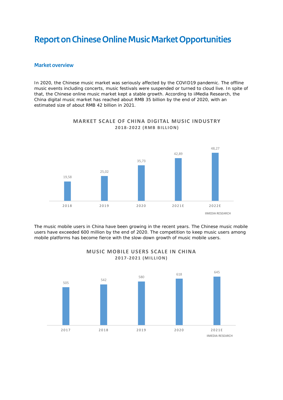# **Report on Chinese Online Music Market Opportunities**

#### **Market overview**

In 2020, the Chinese music market was seriously affected by the COVID19 pandemic. The offline music events including concerts, music festivals were suspended or turned to cloud live. In spite of that, the Chinese online music market kept a stable growth. According to iiMedia Research, the China digital music market has reached about RMB 35 billion by the end of 2020, with an estimated size of about RMB 42 billion in 2021.



#### **MARKET SCALE OF CHINA DIGITAL MUSIC INDUSTRY**  2018-2022 (RMB BILLION)

The music mobile users in China have been growing in the recent years. The Chinese music mobile users have exceeded 600 million by the end of 2020. The competition to keep music users among mobile platforms has become fierce with the slow-down growth of music mobile users.



#### **MUSIC MOBILE USERS SCALE IN CHINA 2017-2 0 2 1 ( M I L L I O N )**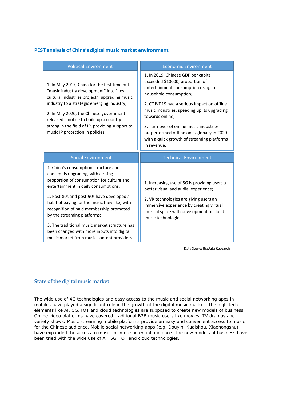# **PEST analysis of China's digital music market environment**

| <b>Political Environment</b>                                                                                                                                                                                                                                                                                                                                                                                                                                                          | <b>Economic Environment</b>                                                                                                                                                                                                                                                                                                                                                                                  |
|---------------------------------------------------------------------------------------------------------------------------------------------------------------------------------------------------------------------------------------------------------------------------------------------------------------------------------------------------------------------------------------------------------------------------------------------------------------------------------------|--------------------------------------------------------------------------------------------------------------------------------------------------------------------------------------------------------------------------------------------------------------------------------------------------------------------------------------------------------------------------------------------------------------|
| 1. In May 2017, China for the first time put<br>"music industry development" into "key<br>cultural industries project", upgrading music<br>industry to a strategic emerging industry;<br>2. In May 2020, the Chinese government<br>released a notice to build up a country<br>strong in the field of IP, providing support to<br>music IP protection in policies.                                                                                                                     | 1. In 2019, Chinese GDP per capita<br>exceeded \$10000, proportion of<br>entertainment consumption rising in<br>household consumption;<br>2. COIVD19 had a serious impact on offline<br>music industries, speeding up its upgrading<br>towards online;<br>3. Turn-over of online music industries<br>outperformed offline ones globally in 2020<br>with a quick growth of streaming platforms<br>in revenue. |
| <b>Social Environment</b>                                                                                                                                                                                                                                                                                                                                                                                                                                                             | <b>Technical Environment</b>                                                                                                                                                                                                                                                                                                                                                                                 |
| 1. China's consumption structure and<br>concept is upgrading, with a rising<br>proportion of consumption for culture and<br>entertainment in daily consumptions;<br>2. Post-80s and post-90s have developed a<br>habit of paying for the music they like, with<br>recognition of paid membership promoted<br>by the streaming platforms;<br>3. The traditional music market structure has<br>been changed with more inputs into digital<br>music market from music content providers. | 1. Increasing use of 5G is providing users a<br>better visual and audial experience;<br>2. VR technologies are giving users an<br>immersive experience by creating virtual<br>musical space with development of cloud<br>music technologies.                                                                                                                                                                 |

Data Soure: BigData Research

#### **State of the digital music market**

The wide use of 4G technologies and easy access to the music and social networking apps in mobiles have played a significant role in the growth of the digital music market. The high-tech elements like AI, 5G, IOT and cloud technologies are supposed to create new models of business. Online video platforms have covered traditional B2B music users like movies, TV dramas and variety shows. Music streaming mobile platforms provide an easy and convenient access to music for the Chinese audience. Mobile social networking apps (e.g. Douyin, Kuaishou, Xiaohongshu) have expanded the access to music for more potential audience. The new models of business have been tried with the wide use of AI, 5G, IOT and cloud technologies.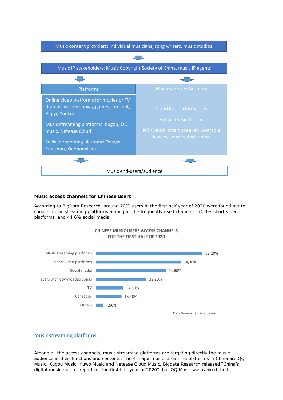

**Music access channels for Chinese users** 

According to BigData Research, around 70% users in the first half year of 2020 were found out to choose music streaming platforms among all the frequently used channels, 54.3% short video platforms, and 44.6% social media.



#### **CHINESE MUSIC USERS ACCESS CHANNELS FOR THE FIRST HALF OF 2020**

## **Music streaming platforms**

Among all the access channels, music streaming platforms are targeting directly the music audience in their functions and contents. The 4 major music streaming platforms in China are QQ Music, Kugou Music, Kuwo Music and Netease Cloud Music. Bigdata Research released "China's digital music market report for the first half year of 2020" that QQ Music was ranked the first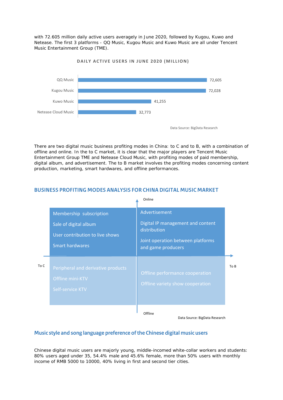with 72.605 million daily active users averagely in June 2020, followed by Kugou, Kuwo and Netease. The first 3 platforms - QQ Music, Kugou Music and Kuwo Music are all under Tencent Music Entertainment Group (TME).



#### **DAILY ACTIVE USERS IN JUNE 2020 (MILLION)**

There are two digital music business profiting modes in China: to C and to B, with a combination of offline and online. In the to C market, it is clear that the major players are Tencent Music Entertainment Group TME and Netease Cloud Music, with profiting modes of paid membership, digital album, and advertisement. The to B market involves the profiting modes concerning content production, marketing, smart hardwares, and offline performances.

# Membership subscription Sale of digital album User contribution to live shows Smart hardwares Advertisement Digital IP management and content distribution Joint operation between platforms and game producers Peripheral and derivative products Offline mini-KTV Self-service KTV Offline performance cooperation Offline variety show cooperation To C Online **Offline** To B

#### **BUSINESS PROFITING MODES ANALYSIS FOR CHINA DIGITAL MUSIC MARKET**

#### Data Source: BigData Research

#### **Music style and song language preference of the Chinese digital music users**

Chinese digital music users are majorly young, middle-incomed white-collar workers and students: 80% users aged under 35, 54.4% male and 45.6% female, more than 50% users with monthly income of RMB 5000 to 10000, 40% living in first and second tier cities.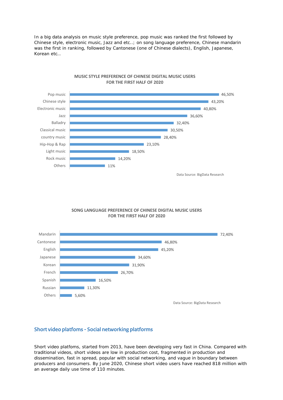In a big data analysis on music style preference, pop music was ranked the first followed by Chinese style, electronic music, Jazz and etc..; on song language preference, Chinese mandarin was the first in ranking, followed by Cantonese (one of Chinese dialects), English, Japanese, Korean etc…



#### **MUSIC STYLE PREFERENCE OF CHINESE DIGITAL MUSIC USERS FOR THE FIRST HALF OF 2020**

#### **SONG LANGUAGE PREFERENCE OF CHINESE DIGITAL MUSIC USERS FOR THE FIRST HALF OF 2020**



## **Short video platfoms - Social networking platforms**

Short video platfoms, started from 2013, have been developing very fast in China. Compared with traditional videos, short videos are low in production cost, fragmented in production and dissemination, fast in spread, popular with social networking, and vague in boundary between producers and consumers. By June 2020, Chinese short video users have reached 818 million with an average daily use time of 110 minutes.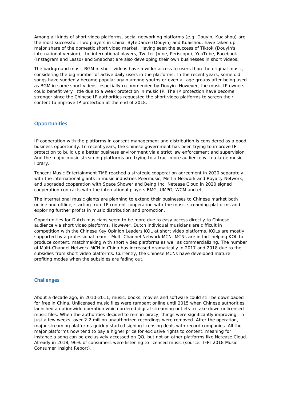Among all kinds of short video platforms, social networking platforms (e.g. Douyin, Kuaishou) are the most successful. Two players in China, ByteDance (Douyin) and Kuaishou, have taken up major share of the domestic short video market. Having seen the success of Tiktok (Douvin's international version), the international players, Twitter (Vine, Periscope), YouTube, Facebook (Instagram and Lasso) and Snapchat are also developing their own businesses in short videos.

The background music BGM in short videos have a wider access to users than the original music, considering the big number of active daily users in the platforms. In the recent years, some old songs have suddenly become popular again among youths or even all age groups after being used as BGM in some short videos, especially recommended by Douyin. However, the music IP owners could benefit very little due to a weak protection in music IP. The IP protection have become stronger since the Chinese IP authorities requested the short video platforms to screen their content to improve IP protection at the end of 2018.

#### **Opportunities**

IP cooperation with the platforms in content management and distribution is considered as a good business opportunity. In recent years, the Chinese government has been trying to improve IP protection to build up a better business environment via a strict law enforcement and supervision. And the major music streaming platforms are trying to attract more audience with a large music library.

Tencent Music Entertainment TME reached a strategic cooperation agreement in 2020 separately with the international giants in music industries Peermusic, Merlin Network and Royalty Network, and upgraded cooperation with Space Shower and Being Inc. Netease Cloud in 2020 signed cooperation contracts with the international players BMG, UMPG, WCM and etc..

The international music giants are planning to extend their businesses to Chinese market both online and offline, starting from IP content cooperation with the music streaming platforms and exploring further profits in music distribution and promotion.

Opportunities for Dutch musicians seem to be more due to easy access directly to Chinese audience via short video platforms. However, Dutch individual musicians are difficult in competition with the Chinese Key Opinion Leaders KOL at short video platforms. KOLs are mostly supported by a professional team - Multi-Channel Network MCN. MCNs are in fact helping KOL to produce content, matchmaking with short video platforms as well as commercializing. The number of Multi-Channel Network MCN in China has increased dramatically in 2017 and 2018 due to the subsidies from short video platforms. Currently, the Chinese MCNs have developed mature profiting modes when the subsidies are fading out.

#### **Challenges**

About a decade ago, in 2010-2011, music, books, movies and software could still be downloaded for free in China. Unlicensed music files were rampant online until 2015 when Chinese authorities launched a nationwide operation which ordered digital streaming outlets to take down unlicensed music files. When the authorities decided to rein in piracy, things were significantly improving. In just a few weeks, over 2.2 million unauthorized recordings were removed. After the operation, major streaming platforms quickly started signing licensing deals with record companies. All the major platforms now tend to pay a higher price for exclusive rights to content, meaning for instance a song can be exclusively accessed on QQ, but not on other platforms like Netease Cloud. Already in 2018, 96% of consumers were listening to licensed music (source: IFPI 2018 Music Consumer Insight Report).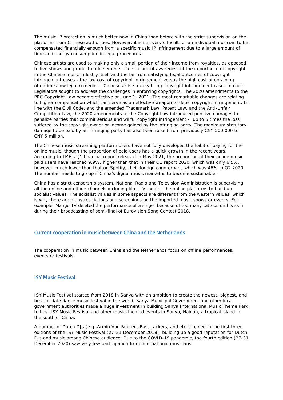The music IP protection is much better now in China than before with the strict supervision on the platforms from Chinese authorities. However, it is still very difficult for an individual musician to be compensated financially enough from a specific music IP infringement due to a large amount of time and energy consumption in legal procedures.

Chinese artists are used to making only a small portion of their income from royalties, as opposed to live shows and product endorsements. Due to lack of awareness of the importance of copyright in the Chinese music industry itself and the far from satisfying legal outcomes of copyright infringement cases - the low cost of copyright infringement versus the high cost of obtaining oftentimes low legal remedies - Chinese artists rarely bring copyright infringement cases to court. Legislators sought to address the challenges in enforcing copyrights. The 2020 amendments to the PRC Copyright Law became effective on June 1, 2021. The most remarkable changes are relating to higher compensation which can serve as an effective weapon to deter copyright infringement. In line with the Civil Code, and the amended Trademark Law, Patent Law, and the Anti-Unfair Competition Law, the 2020 amendments to the Copyright Law introduced punitive damages to penalize parties that commit serious and willful copyright infringement - up to 5 times the loss suffered by the copyright owner or income gained by the infringing party. The maximum statutory damage to be paid by an infringing party has also been raised from previously CNY 500.000 to CNY 5 million.

The Chinese music streaming platform users have not fully developed the habit of paying for the online music, though the proportion of paid users has a quick growth in the recent years. According to TME's Q1 financial report released in May 2021, the proportion of their online music paid users have reached 9.9%, higher than that in their Q1 report 2020, which was only 6.5%, however, much lower than that on Spotify, their foreign counterpart, which was 46% in Q2 2020. The number needs to go up if China's digital music market is to become sustainable.

China has a strict censorship system. National Radio and Television Administration is supervising all the online and offline channels including film, TV, and all the online platforms to build up socialist values. The socialist values in some aspects are different from the western values, which is why there are many restrictions and screenings on the imported music shows or events. For example, Mango TV deleted the performance of a singer because of too many tattoos on his skin during their broadcasting of semi-final of Eurovision Song Contest 2018.

## **Current cooperation in music between China and the Netherlands**

The cooperation in music between China and the Netherlands focus on offline performances, events or festivals.

#### **ISY Music Festival**

ISY Music Festival started from 2018 in Sanya with an ambition to create the newest, biggest, and best-to-date dance music festival in the world. Sanya Municipal Government and other local government authorities made a huge investment in building Sanya International Music Theme Park to host ISY Music Festival and other music-themed events in Sanya, Hainan, a tropical island in the south of China.

A number of Dutch DJs (e.g. Armin Van Buuren, Bass Jackers, and etc..) joined in the first three editions of the ISY Music Festival (27-31 December 2018), building up a good reputation for Dutch DJs and music among Chinese audience. Due to the COVID-19 pandemic, the fourth edition (27-31 December 2020) saw very few participation from international musicians.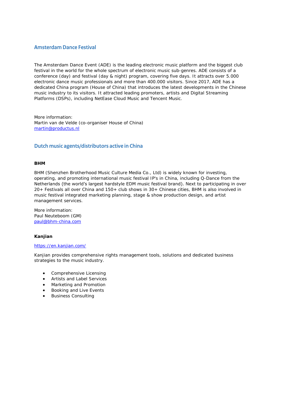#### **Amsterdam Dance Festival**

The Amsterdam Dance Event (ADE) is the leading electronic music platform and the biggest club festival in the world for the whole spectrum of electronic music sub-genres. ADE consists of a conference (day) and festival (day & night) program, covering five days. It attracts over 5.000 electronic dance music professionals and more than 400.000 visitors. Since 2017, ADE has a dedicated China program (House of China) that introduces the latest developments in the Chinese music industry to its visitors. It attracted leading promoters, artists and Digital Streaming Platforms (DSPs), including NetEase Cloud Music and Tencent Music.

More information: Martin van de Velde (co-organiser House of China) [martin@productus.nl](mailto:martin@productus.nl)

#### **Dutch music agents/distributors active in China**

#### **BHM**

BHM (Shenzhen Brotherhood Music Culture Media Co., Ltd) is widely known for investing, operating, and promoting international music festival IP's in China, including Q-Dance from the Netherlands (the world's largest hardstyle EDM music festival brand). Next to participating in over 20+ Festivals all over China and 150+ club shows in 30+ Chinese cities, BHM is also involved in music festival integrated marketing planning, stage & show production design, and artist management services.

More information: Paul Neuteboom (GM) [paul@bhm-china.com](mailto:paul@bhm-china.com)

**Kanjian**

#### <https://en.kanjian.com/>

Kanjian provides comprehensive rights management tools, solutions and dedicated business strategies to the music industry.

- Comprehensive Licensing
- Artists and Label Services
- Marketing and Promotion
- Booking and Live Events
- Business Consulting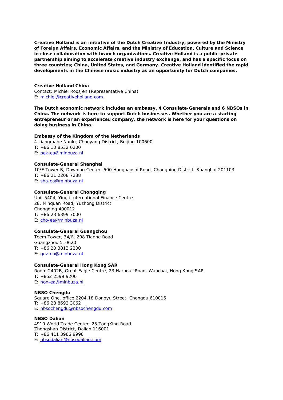**Creative Holland is an initiative of the Dutch Creative Industry, powered by the Ministry of Foreign Affairs, Economic Affairs, and the Ministry of Education, Culture and Science in close collaboration with branch organizations. Creative Holland is a public-private partnership aiming to accelerate creative industry exchange, and has a specific focus on three countries; China, United States, and Germany. Creative Holland identified the rapid developments in the Chinese music industry as an opportunity for Dutch companies.**

**Creative Holland China** Contact: Michiel Roosjen (Representative China) E: [michiel@creativeholland.com](mailto:michiel@creativeholland.com)

**The Dutch economic network includes an embassy, 4 Consulate-Generals and 6 NBSOs in China. The network is here to support Dutch businesses. Whether you are a starting entrepreneur or an experienced company, the network is here for your questions on doing business in China.**

**Embassy of the Kingdom of the Netherlands** 4 Liangmahe Nanlu, Chaoyang District, Beijing 100600 T: +86 10 8532 0200 E: [pek-ea@minbuza.nl](mailto:pek-ea@minbuza.nl)

**Consulate-General Shanghai** 10/F Tower B, Dawning Center, 500 Hongbaoshi Road, Changning District, Shanghai 201103 T: +86 21 2208 7288 E: [sha-ea@minbuza.nl](mailto:sha-ea@minbuza.nl)

**Consulate-General Chongqing** Unit 5404, Yingli International Finance Centre 28. Minquan Road, Yuzhong District Chongqing 400012 T: +86 23 6399 7000 E: [cho-ea@minbuza.nl](mailto:cho-ea@minbuza.nl)

**Consulate-General Guangzhou** Teem Tower, 34/F, 208 Tianhe Road Guangzhou 510620 T: +86 20 3813 2200 E: [gnz-ea@minbuza.nl](mailto:gnz-ea@minbuza.nl)

**Consulate-General Hong Kong SAR** Room 2402B, Great Eagle Centre, 23 Harbour Road, Wanchai, Hong Kong SAR T: +852 2599 9200 E: [hon-ea@minbuza.nl](mailto:hon-ea@minbuza.nl)

**NBSO Chengdu** Square One, office 2204,18 Dongyu Street, Chengdu 610016 T: +86 28 8692 3062 E: [nbsochengdu@nbsochengdu.com](mailto:nbsochengdu@nbsochengdu.com)

**NBSO Dalian** 4910 World Trade Center, 25 TongXing Road Zhongshan District, Dalian 116001 T: +86 411 3986 9998 E: [nbsodalian@nbsodalian.com](mailto:nbsodalian@nbsodalian.com)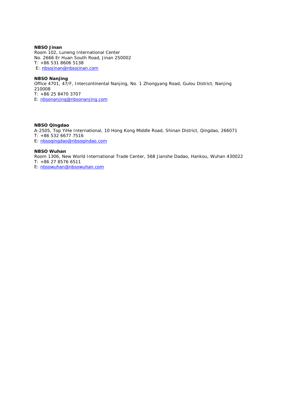**NBSO Jinan** Room 102, Luneng International Center No. 2666 Er Huan South Road, Jinan 250002 T: +86 531 8606 5138 E: [nbsojinan@nbsojinan.com](mailto:nbsojinan@nbsojinan.com)

**NBSO Nanjing** Office 4701, 47/F, Intercontinental Nanjing, No. 1 Zhongyang Road, Gulou District, Nanjing 210008 T: +86 25 8470 3707 E: [nbsonanjing@nbsonanjing.com](mailto:nbsonanjing@nbsonanjing.com)

**NBSO Qingdao** A-2505, Top YiHe International, 10 Hong Kong Middle Road, Shinan District, Qingdao, 266071 T: +86 532 6677 7516 E: [nbsoqingdao@nbsogindao.com](mailto:nbsoqingdao@nbsogindao.com)

**NBSO Wuhan** Room 1306, New World International Trade Center, 568 Jianshe Dadao, Hankou, Wuhan 430022 T: +86 27 8576 6511 E: [nbsowuhan@nbsowuhan.com](mailto:nbsowuhan@nbsowuhan.com)